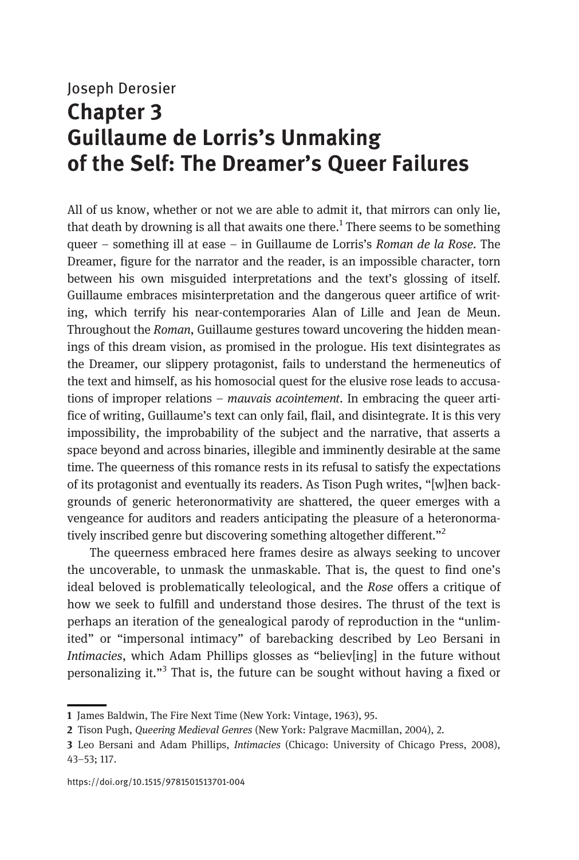## Joseph Derosier Chapter 3 Guillaume de Lorris's Unmaking of the Self: The Dreamer's Queer Failures

All of us know, whether or not we are able to admit it, that mirrors can only lie, that death by drowning is all that awaits one there.<sup>1</sup> There seems to be something queer – something ill at ease – in Guillaume de Lorris's Roman de la Rose. The Dreamer, figure for the narrator and the reader, is an impossible character, torn between his own misguided interpretations and the text's glossing of itself. Guillaume embraces misinterpretation and the dangerous queer artifice of writing, which terrify his near-contemporaries Alan of Lille and Jean de Meun. Throughout the Roman, Guillaume gestures toward uncovering the hidden meanings of this dream vision, as promised in the prologue. His text disintegrates as the Dreamer, our slippery protagonist, fails to understand the hermeneutics of the text and himself, as his homosocial quest for the elusive rose leads to accusations of improper relations – *mauvais acointement*. In embracing the queer artifice of writing, Guillaume's text can only fail, flail, and disintegrate. It is this very impossibility, the improbability of the subject and the narrative, that asserts a space beyond and across binaries, illegible and imminently desirable at the same time. The queerness of this romance rests in its refusal to satisfy the expectations of its protagonist and eventually its readers. As Tison Pugh writes, "[w]hen backgrounds of generic heteronormativity are shattered, the queer emerges with a vengeance for auditors and readers anticipating the pleasure of a heteronormatively inscribed genre but discovering something altogether different."<sup>2</sup>

The queerness embraced here frames desire as always seeking to uncover the uncoverable, to unmask the unmaskable. That is, the quest to find one's ideal beloved is problematically teleological, and the Rose offers a critique of how we seek to fulfill and understand those desires. The thrust of the text is perhaps an iteration of the genealogical parody of reproduction in the "unlimited" or "impersonal intimacy" of barebacking described by Leo Bersani in Intimacies, which Adam Phillips glosses as "believ[ing] in the future without personalizing it."<sup>3</sup> That is, the future can be sought without having a fixed or

<sup>1</sup> James Baldwin, The Fire Next Time (New York: Vintage, 1963), 95.

<sup>2</sup> Tison Pugh, Queering Medieval Genres (New York: Palgrave Macmillan, 2004), 2.

<sup>3</sup> Leo Bersani and Adam Phillips, Intimacies (Chicago: University of Chicago Press, 2008), 43–53; 117.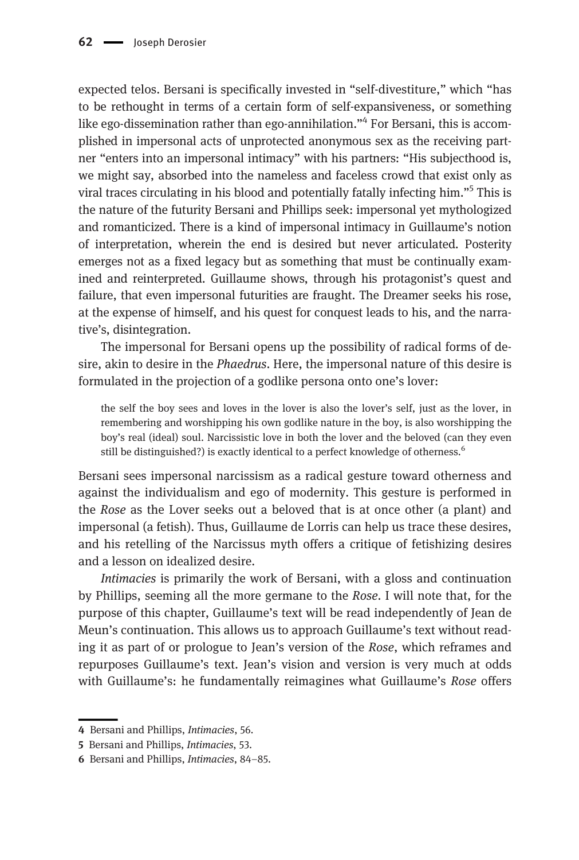expected telos. Bersani is specifically invested in "self-divestiture," which "has to be rethought in terms of a certain form of self-expansiveness, or something like ego-dissemination rather than ego-annihilation."<sup>4</sup> For Bersani, this is accomplished in impersonal acts of unprotected anonymous sex as the receiving partner "enters into an impersonal intimacy" with his partners: "His subjecthood is, we might say, absorbed into the nameless and faceless crowd that exist only as viral traces circulating in his blood and potentially fatally infecting him."<sup>5</sup> This is the nature of the futurity Bersani and Phillips seek: impersonal yet mythologized and romanticized. There is a kind of impersonal intimacy in Guillaume's notion of interpretation, wherein the end is desired but never articulated. Posterity emerges not as a fixed legacy but as something that must be continually examined and reinterpreted. Guillaume shows, through his protagonist's quest and failure, that even impersonal futurities are fraught. The Dreamer seeks his rose, at the expense of himself, and his quest for conquest leads to his, and the narrative's, disintegration.

The impersonal for Bersani opens up the possibility of radical forms of desire, akin to desire in the Phaedrus. Here, the impersonal nature of this desire is formulated in the projection of a godlike persona onto one's lover:

the self the boy sees and loves in the lover is also the lover's self, just as the lover, in remembering and worshipping his own godlike nature in the boy, is also worshipping the boy's real (ideal) soul. Narcissistic love in both the lover and the beloved (can they even still be distinguished?) is exactly identical to a perfect knowledge of otherness.<sup>6</sup>

Bersani sees impersonal narcissism as a radical gesture toward otherness and against the individualism and ego of modernity. This gesture is performed in the Rose as the Lover seeks out a beloved that is at once other (a plant) and impersonal (a fetish). Thus, Guillaume de Lorris can help us trace these desires, and his retelling of the Narcissus myth offers a critique of fetishizing desires and a lesson on idealized desire.

Intimacies is primarily the work of Bersani, with a gloss and continuation by Phillips, seeming all the more germane to the Rose. I will note that, for the purpose of this chapter, Guillaume's text will be read independently of Jean de Meun's continuation. This allows us to approach Guillaume's text without reading it as part of or prologue to Jean's version of the Rose, which reframes and repurposes Guillaume's text. Jean's vision and version is very much at odds with Guillaume's: he fundamentally reimagines what Guillaume's Rose offers

<sup>4</sup> Bersani and Phillips, Intimacies, 56.

<sup>5</sup> Bersani and Phillips, Intimacies, 53.

<sup>6</sup> Bersani and Phillips, Intimacies, 84–85.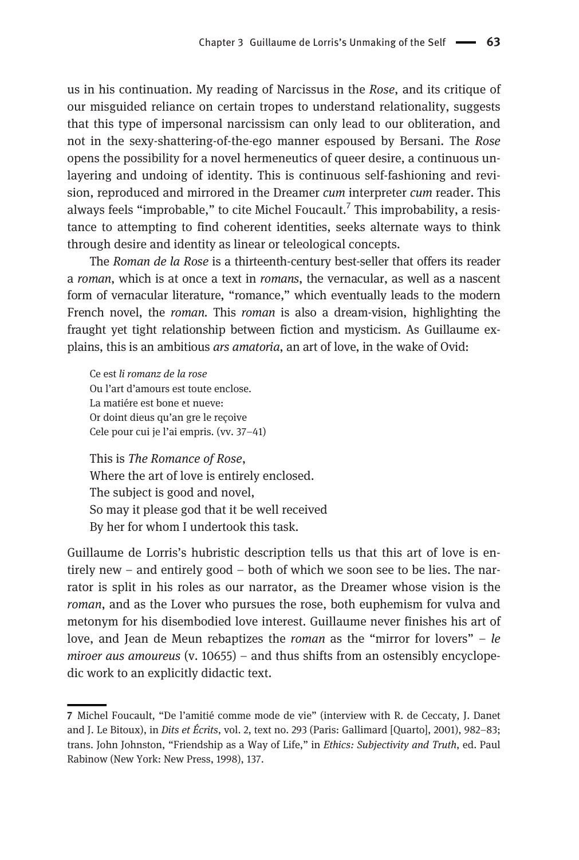us in his continuation. My reading of Narcissus in the Rose, and its critique of our misguided reliance on certain tropes to understand relationality, suggests that this type of impersonal narcissism can only lead to our obliteration, and not in the sexy-shattering-of-the-ego manner espoused by Bersani. The Rose opens the possibility for a novel hermeneutics of queer desire, a continuous unlayering and undoing of identity. This is continuous self-fashioning and revision, reproduced and mirrored in the Dreamer cum interpreter cum reader. This always feels "improbable," to cite Michel Foucault.<sup>7</sup> This improbability, a resistance to attempting to find coherent identities, seeks alternate ways to think through desire and identity as linear or teleological concepts.

The Roman de la Rose is a thirteenth-century best-seller that offers its reader a roman, which is at once a text in romans, the vernacular, as well as a nascent form of vernacular literature, "romance," which eventually leads to the modern French novel, the *roman*. This *roman* is also a dream-vision, highlighting the fraught yet tight relationship between fiction and mysticism. As Guillaume explains, this is an ambitious ars amatoria, an art of love, in the wake of Ovid:

Ce est li romanz de la rose Ou l'art d'amours est toute enclose. La matiére est bone et nueve: Or doint dieus qu'an gre le reçoive Cele pour cui je l'ai empris. (vv. 37–41)

This is The Romance of Rose, Where the art of love is entirely enclosed. The subject is good and novel, So may it please god that it be well received By her for whom I undertook this task.

Guillaume de Lorris's hubristic description tells us that this art of love is entirely new – and entirely good – both of which we soon see to be lies. The narrator is split in his roles as our narrator, as the Dreamer whose vision is the roman, and as the Lover who pursues the rose, both euphemism for vulva and metonym for his disembodied love interest. Guillaume never finishes his art of love, and Jean de Meun rebaptizes the *roman* as the "mirror for lovers"  $-$  le miroer aus amoureus (v. 10655) – and thus shifts from an ostensibly encyclopedic work to an explicitly didactic text.

<sup>7</sup> Michel Foucault, "De l'amitié comme mode de vie" (interview with R. de Ceccaty, J. Danet and J. Le Bitoux), in Dits et Écrits, vol. 2, text no. 293 (Paris: Gallimard [Quarto], 2001), 982–83; trans. John Johnston, "Friendship as a Way of Life," in Ethics: Subjectivity and Truth, ed. Paul Rabinow (New York: New Press, 1998), 137.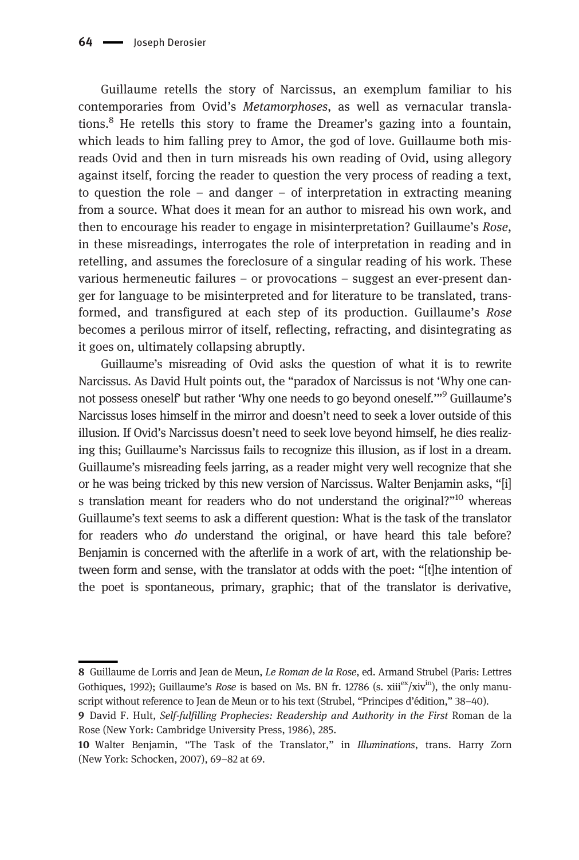Guillaume retells the story of Narcissus, an exemplum familiar to his contemporaries from Ovid's Metamorphoses, as well as vernacular translations.8 He retells this story to frame the Dreamer's gazing into a fountain, which leads to him falling prey to Amor, the god of love. Guillaume both misreads Ovid and then in turn misreads his own reading of Ovid, using allegory against itself, forcing the reader to question the very process of reading a text, to question the role – and danger – of interpretation in extracting meaning from a source. What does it mean for an author to misread his own work, and then to encourage his reader to engage in misinterpretation? Guillaume's Rose, in these misreadings, interrogates the role of interpretation in reading and in retelling, and assumes the foreclosure of a singular reading of his work. These various hermeneutic failures – or provocations – suggest an ever-present danger for language to be misinterpreted and for literature to be translated, transformed, and transfigured at each step of its production. Guillaume's Rose becomes a perilous mirror of itself, reflecting, refracting, and disintegrating as it goes on, ultimately collapsing abruptly.

Guillaume's misreading of Ovid asks the question of what it is to rewrite Narcissus. As David Hult points out, the "paradox of Narcissus is not 'Why one cannot possess oneself' but rather 'Why one needs to go beyond oneself.'"<sup>9</sup> Guillaume's Narcissus loses himself in the mirror and doesn't need to seek a lover outside of this illusion. If Ovid's Narcissus doesn't need to seek love beyond himself, he dies realizing this; Guillaume's Narcissus fails to recognize this illusion, as if lost in a dream. Guillaume's misreading feels jarring, as a reader might very well recognize that she or he was being tricked by this new version of Narcissus. Walter Benjamin asks, "[i] s translation meant for readers who do not understand the original?"<sup>10</sup> whereas Guillaume's text seems to ask a different question: What is the task of the translator for readers who do understand the original, or have heard this tale before? Benjamin is concerned with the afterlife in a work of art, with the relationship between form and sense, with the translator at odds with the poet: "[t]he intention of the poet is spontaneous, primary, graphic; that of the translator is derivative,

<sup>8</sup> Guillaume de Lorris and Jean de Meun, Le Roman de la Rose, ed. Armand Strubel (Paris: Lettres Gothiques, 1992); Guillaume's Rose is based on Ms. BN fr. 12786 (s. xiii<sup>ex</sup>/xiv<sup>in</sup>), the only manuscript without reference to Jean de Meun or to his text (Strubel, "Principes d'édition," 38–40).

<sup>9</sup> David F. Hult, Self-fulfilling Prophecies: Readership and Authority in the First Roman de la Rose (New York: Cambridge University Press, 1986), 285.

<sup>10</sup> Walter Benjamin, "The Task of the Translator," in Illuminations, trans. Harry Zorn (New York: Schocken, 2007), 69–82 at 69.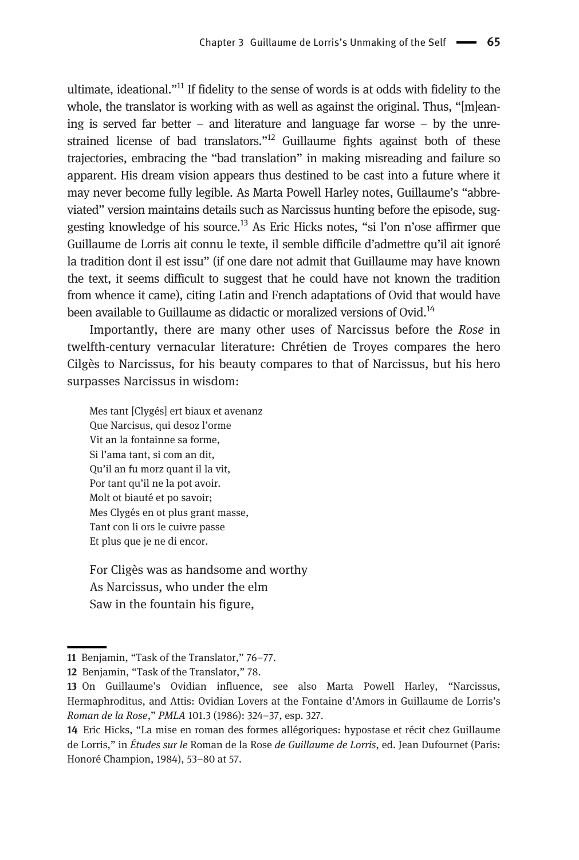ultimate, ideational."<sup>11</sup> If fidelity to the sense of words is at odds with fidelity to the whole, the translator is working with as well as against the original. Thus, "[m]eaning is served far better – and literature and language far worse – by the unrestrained license of bad translators."<sup>12</sup> Guillaume fights against both of these trajectories, embracing the "bad translation" in making misreading and failure so apparent. His dream vision appears thus destined to be cast into a future where it may never become fully legible. As Marta Powell Harley notes, Guillaume's "abbreviated" version maintains details such as Narcissus hunting before the episode, suggesting knowledge of his source.<sup>13</sup> As Eric Hicks notes, "si l'on n'ose affirmer que Guillaume de Lorris ait connu le texte, il semble difficile d'admettre qu'il ait ignoré la tradition dont il est issu" (if one dare not admit that Guillaume may have known the text, it seems difficult to suggest that he could have not known the tradition from whence it came), citing Latin and French adaptations of Ovid that would have been available to Guillaume as didactic or moralized versions of Ovid.<sup>14</sup>

Importantly, there are many other uses of Narcissus before the Rose in twelfth-century vernacular literature: Chrétien de Troyes compares the hero Cilgès to Narcissus, for his beauty compares to that of Narcissus, but his hero surpasses Narcissus in wisdom:

Mes tant [Clygés] ert biaux et avenanz Que Narcisus, qui desoz l'orme Vit an la fontainne sa forme, Si l'ama tant, si com an dit, Qu'il an fu morz quant il la vit, Por tant qu'il ne la pot avoir. Molt ot biauté et po savoir; Mes Clygés en ot plus grant masse, Tant con li ors le cuivre passe Et plus que je ne di encor.

For Cligès was as handsome and worthy As Narcissus, who under the elm Saw in the fountain his figure,

<sup>11</sup> Benjamin, "Task of the Translator," 76–77.

<sup>12</sup> Benjamin, "Task of the Translator," 78.

<sup>13</sup> On Guillaume's Ovidian influence, see also Marta Powell Harley, "Narcissus, Hermaphroditus, and Attis: Ovidian Lovers at the Fontaine d'Amors in Guillaume de Lorris's Roman de la Rose," PMLA 101.3 (1986): 324–37, esp. 327.

<sup>14</sup> Eric Hicks, "La mise en roman des formes allégoriques: hypostase et récit chez Guillaume de Lorris," in Études sur le Roman de la Rose de Guillaume de Lorris, ed. Jean Dufournet (Paris: Honoré Champion, 1984), 53–80 at 57.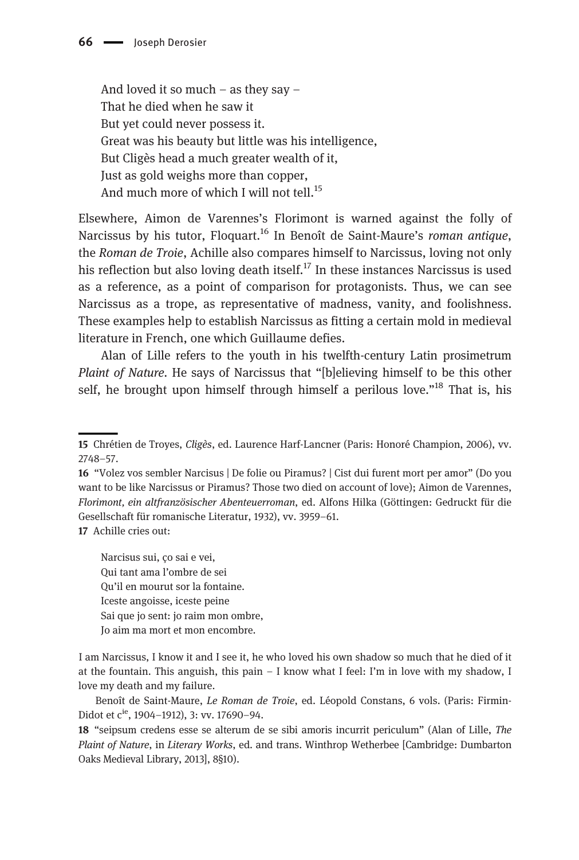And loved it so much – as they say – That he died when he saw it But yet could never possess it. Great was his beauty but little was his intelligence, But Cligès head a much greater wealth of it, Just as gold weighs more than copper, And much more of which I will not tell.<sup>15</sup>

Elsewhere, Aimon de Varennes's Florimont is warned against the folly of Narcissus by his tutor, Floquart.<sup>16</sup> In Benoît de Saint-Maure's roman antique, the Roman de Troie, Achille also compares himself to Narcissus, loving not only his reflection but also loving death itself.<sup>17</sup> In these instances Narcissus is used as a reference, as a point of comparison for protagonists. Thus, we can see Narcissus as a trope, as representative of madness, vanity, and foolishness. These examples help to establish Narcissus as fitting a certain mold in medieval literature in French, one which Guillaume defies.

Alan of Lille refers to the youth in his twelfth-century Latin prosimetrum Plaint of Nature. He says of Narcissus that "[b]elieving himself to be this other self, he brought upon himself through himself a perilous love."<sup>18</sup> That is, his

17 Achille cries out:

Narcisus sui, ço sai e vei, Qui tant ama l'ombre de sei Qu'il en mourut sor la fontaine. Iceste angoisse, iceste peine Sai que jo sent: jo raim mon ombre, Jo aim ma mort et mon encombre.

I am Narcissus, I know it and I see it, he who loved his own shadow so much that he died of it at the fountain. This anguish, this pain – I know what I feel: I'm in love with my shadow, I love my death and my failure.

Benoît de Saint-Maure, Le Roman de Troie, ed. Léopold Constans, 6 vols. (Paris: Firmin-Didot et c<sup>ie</sup>, 1904–1912), 3: vv. 17690–94.

18 "seipsum credens esse se alterum de se sibi amoris incurrit periculum" (Alan of Lille, The Plaint of Nature, in Literary Works, ed. and trans. Winthrop Wetherbee [Cambridge: Dumbarton Oaks Medieval Library, 2013], 8§10).

<sup>15</sup> Chrétien de Troyes, Cligès, ed. Laurence Harf-Lancner (Paris: Honoré Champion, 2006), vv. 2748–57.

<sup>16</sup> "Volez vos sembler Narcisus | De folie ou Piramus? | Cist dui furent mort per amor" (Do you want to be like Narcissus or Piramus? Those two died on account of love); Aimon de Varennes, Florimont, ein altfranzösischer Abenteuerroman, ed. Alfons Hilka (Göttingen: Gedruckt für die Gesellschaft für romanische Literatur, 1932), vv. 3959–61.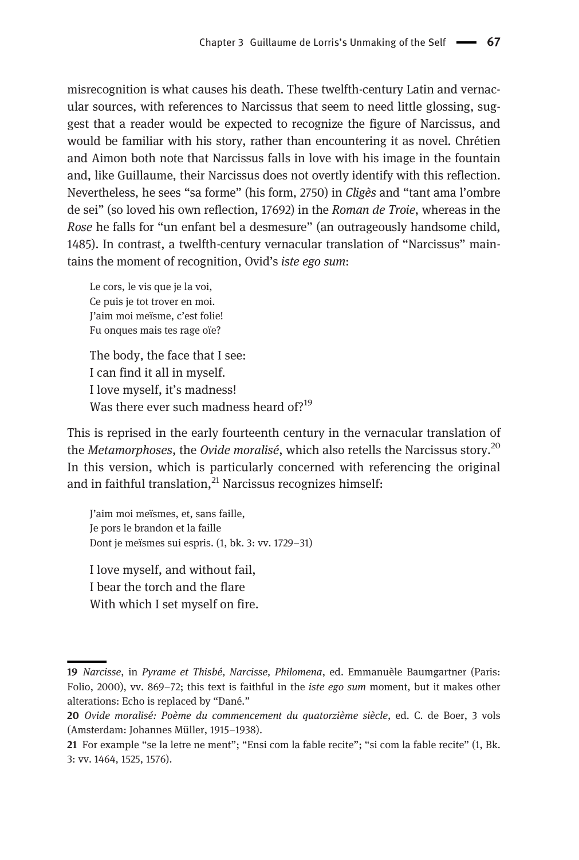misrecognition is what causes his death. These twelfth-century Latin and vernacular sources, with references to Narcissus that seem to need little glossing, suggest that a reader would be expected to recognize the figure of Narcissus, and would be familiar with his story, rather than encountering it as novel. Chrétien and Aimon both note that Narcissus falls in love with his image in the fountain and, like Guillaume, their Narcissus does not overtly identify with this reflection. Nevertheless, he sees "sa forme" (his form, 2750) in Cligès and "tant ama l'ombre de sei" (so loved his own reflection, 17692) in the Roman de Troie, whereas in the Rose he falls for "un enfant bel a desmesure" (an outrageously handsome child, 1485). In contrast, a twelfth-century vernacular translation of "Narcissus" maintains the moment of recognition, Ovid's iste ego sum:

Le cors, le vis que je la voi, Ce puis je tot trover en moi. J'aim moi meïsme, c'est folie! Fu onques mais tes rage oïe?

The body, the face that I see: I can find it all in myself. I love myself, it's madness! Was there ever such madness heard of?<sup>19</sup>

This is reprised in the early fourteenth century in the vernacular translation of the *Metamorphoses*, the *Ovide moralisé*, which also retells the Narcissus story.<sup>20</sup> In this version, which is particularly concerned with referencing the original and in faithful translation, $^{21}$  Narcissus recognizes himself:

J'aim moi meïsmes, et, sans faille, Je pors le brandon et la faille Dont je meïsmes sui espris. (1, bk. 3: vv. 1729–31)

I love myself, and without fail, I bear the torch and the flare With which I set myself on fire.

<sup>19</sup> Narcisse, in Pyrame et Thisbé, Narcisse, Philomena, ed. Emmanuèle Baumgartner (Paris: Folio, 2000), vv. 869–72; this text is faithful in the *iste ego sum* moment, but it makes other alterations: Echo is replaced by "Dané."

<sup>20</sup> Ovide moralisé: Poème du commencement du quatorzième siècle, ed. C. de Boer, 3 vols (Amsterdam: Johannes Müller, 1915–1938).

<sup>21</sup> For example "se la letre ne ment"; "Ensi com la fable recite"; "si com la fable recite" (1, Bk. 3: vv. 1464, 1525, 1576).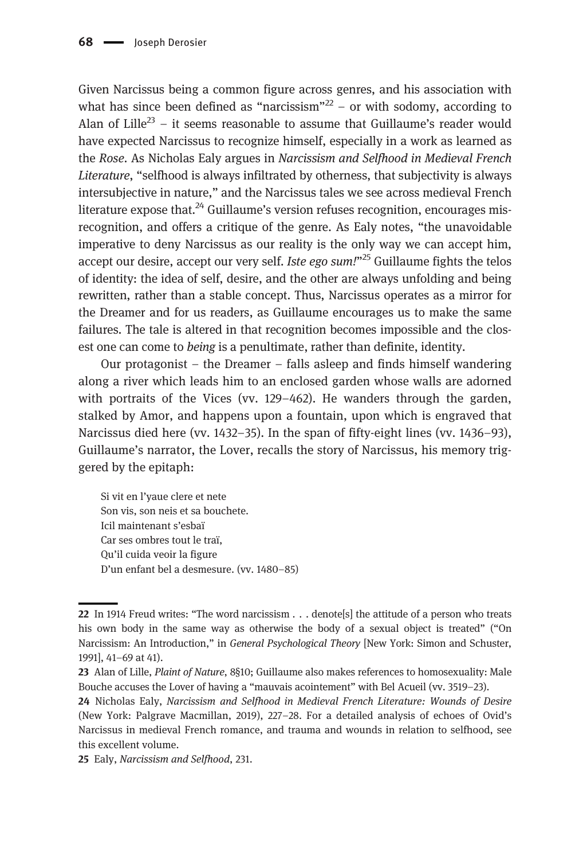Given Narcissus being a common figure across genres, and his association with what has since been defined as "narcissism"<sup>22</sup> – or with sodomy, according to Alan of Lille<sup>23</sup> – it seems reasonable to assume that Guillaume's reader would have expected Narcissus to recognize himself, especially in a work as learned as the Rose. As Nicholas Ealy argues in Narcissism and Selfhood in Medieval French Literature, "selfhood is always infiltrated by otherness, that subjectivity is always intersubjective in nature," and the Narcissus tales we see across medieval French literature expose that.<sup>24</sup> Guillaume's version refuses recognition, encourages misrecognition, and offers a critique of the genre. As Ealy notes, "the unavoidable imperative to deny Narcissus as our reality is the only way we can accept him, accept our desire, accept our very self. Iste ego sum. $125$  Guillaume fights the telos of identity: the idea of self, desire, and the other are always unfolding and being rewritten, rather than a stable concept. Thus, Narcissus operates as a mirror for the Dreamer and for us readers, as Guillaume encourages us to make the same failures. The tale is altered in that recognition becomes impossible and the closest one can come to being is a penultimate, rather than definite, identity.

Our protagonist – the Dreamer – falls asleep and finds himself wandering along a river which leads him to an enclosed garden whose walls are adorned with portraits of the Vices (vv. 129–462). He wanders through the garden, stalked by Amor, and happens upon a fountain, upon which is engraved that Narcissus died here (vv. 1432–35). In the span of fifty-eight lines (vv. 1436–93), Guillaume's narrator, the Lover, recalls the story of Narcissus, his memory triggered by the epitaph:

Si vit en l'yaue clere et nete Son vis, son neis et sa bouchete. Icil maintenant s'esbaï Car ses ombres tout le traï, Qu'il cuida veoir la figure D'un enfant bel a desmesure. (vv. 1480–85)

<sup>22</sup> In 1914 Freud writes: "The word narcissism . . . denote[s] the attitude of a person who treats his own body in the same way as otherwise the body of a sexual object is treated" ("On Narcissism: An Introduction," in General Psychological Theory [New York: Simon and Schuster, 1991], 41–69 at 41).

<sup>23</sup> Alan of Lille, Plaint of Nature, 8§10; Guillaume also makes references to homosexuality: Male Bouche accuses the Lover of having a "mauvais acointement" with Bel Acueil (vv. 3519–23).

<sup>24</sup> Nicholas Ealy, Narcissism and Selfhood in Medieval French Literature: Wounds of Desire (New York: Palgrave Macmillan, 2019), 227–28. For a detailed analysis of echoes of Ovid's Narcissus in medieval French romance, and trauma and wounds in relation to selfhood, see this excellent volume.

<sup>25</sup> Ealy, Narcissism and Selfhood, 231.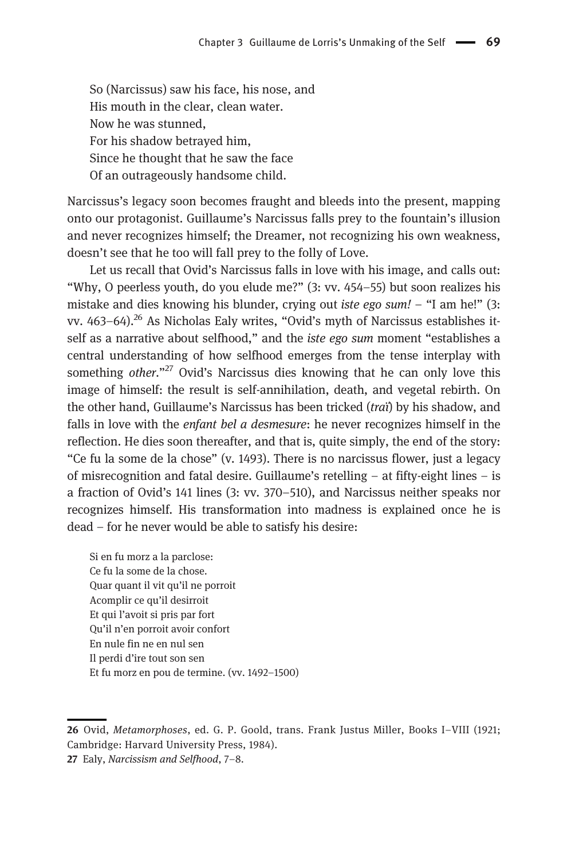So (Narcissus) saw his face, his nose, and His mouth in the clear, clean water. Now he was stunned, For his shadow betrayed him, Since he thought that he saw the face Of an outrageously handsome child.

Narcissus's legacy soon becomes fraught and bleeds into the present, mapping onto our protagonist. Guillaume's Narcissus falls prey to the fountain's illusion and never recognizes himself; the Dreamer, not recognizing his own weakness, doesn't see that he too will fall prey to the folly of Love.

Let us recall that Ovid's Narcissus falls in love with his image, and calls out: "Why, O peerless youth, do you elude me?" (3: vv. 454–55) but soon realizes his mistake and dies knowing his blunder, crying out *iste ego sum!* – "I am he!" (3: vv. 463-64).<sup>26</sup> As Nicholas Ealy writes, "Ovid's myth of Narcissus establishes itself as a narrative about selfhood," and the iste ego sum moment "establishes a central understanding of how selfhood emerges from the tense interplay with something other."<sup>27</sup> Ovid's Narcissus dies knowing that he can only love this image of himself: the result is self-annihilation, death, and vegetal rebirth. On the other hand, Guillaume's Narcissus has been tricked (traï) by his shadow, and falls in love with the *enfant bel a desmesure*: he never recognizes himself in the reflection. He dies soon thereafter, and that is, quite simply, the end of the story: "Ce fu la some de la chose" (v. 1493). There is no narcissus flower, just a legacy of misrecognition and fatal desire. Guillaume's retelling – at fifty-eight lines – is a fraction of Ovid's 141 lines (3: vv. 370–510), and Narcissus neither speaks nor recognizes himself. His transformation into madness is explained once he is dead – for he never would be able to satisfy his desire:

Si en fu morz a la parclose: Ce fu la some de la chose. Quar quant il vit qu'il ne porroit Acomplir ce qu'il desirroit Et qui l'avoit si pris par fort Qu'il n'en porroit avoir confort En nule fin ne en nul sen Il perdi d'ire tout son sen Et fu morz en pou de termine. (vv. 1492–1500)

<sup>26</sup> Ovid, Metamorphoses, ed. G. P. Goold, trans. Frank Justus Miller, Books I–VIII (1921; Cambridge: Harvard University Press, 1984).

<sup>27</sup> Ealy, Narcissism and Selfhood, 7–8.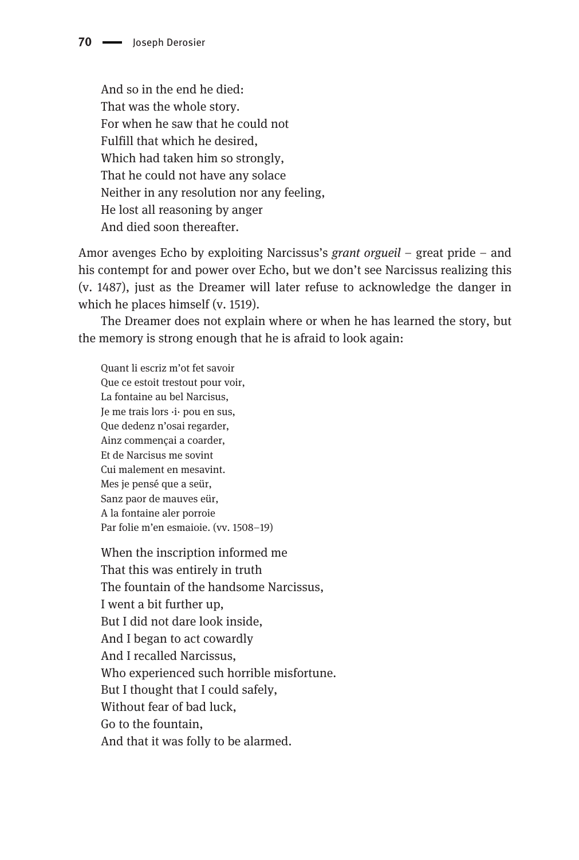And so in the end he died: That was the whole story. For when he saw that he could not Fulfill that which he desired, Which had taken him so strongly, That he could not have any solace Neither in any resolution nor any feeling, He lost all reasoning by anger And died soon thereafter.

Amor avenges Echo by exploiting Narcissus's grant orgueil – great pride – and his contempt for and power over Echo, but we don't see Narcissus realizing this (v. 1487), just as the Dreamer will later refuse to acknowledge the danger in which he places himself (v. 1519).

The Dreamer does not explain where or when he has learned the story, but the memory is strong enough that he is afraid to look again:

Quant li escriz m'ot fet savoir Que ce estoit trestout pour voir, La fontaine au bel Narcisus, Je me trais lors ·i· pou en sus, Que dedenz n'osai regarder, Ainz commençai a coarder, Et de Narcisus me sovint Cui malement en mesavint. Mes je pensé que a seür, Sanz paor de mauves eür, A la fontaine aler porroie Par folie m'en esmaioie. (vv. 1508–19)

When the inscription informed me That this was entirely in truth The fountain of the handsome Narcissus, I went a bit further up, But I did not dare look inside, And I began to act cowardly And I recalled Narcissus, Who experienced such horrible misfortune. But I thought that I could safely, Without fear of bad luck, Go to the fountain, And that it was folly to be alarmed.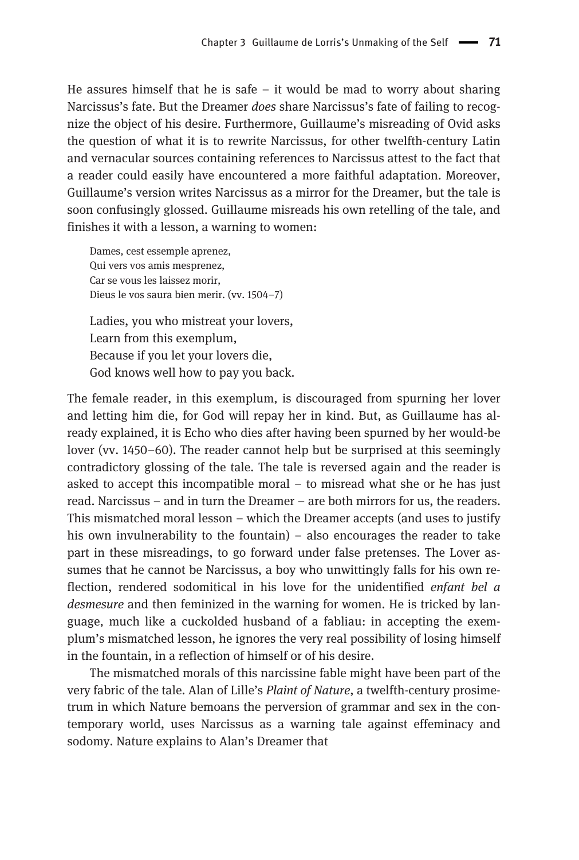He assures himself that he is safe  $-$  it would be mad to worry about sharing Narcissus's fate. But the Dreamer does share Narcissus's fate of failing to recognize the object of his desire. Furthermore, Guillaume's misreading of Ovid asks the question of what it is to rewrite Narcissus, for other twelfth-century Latin and vernacular sources containing references to Narcissus attest to the fact that a reader could easily have encountered a more faithful adaptation. Moreover, Guillaume's version writes Narcissus as a mirror for the Dreamer, but the tale is soon confusingly glossed. Guillaume misreads his own retelling of the tale, and finishes it with a lesson, a warning to women:

Dames, cest essemple aprenez, Qui vers vos amis mesprenez, Car se vous les laissez morir, Dieus le vos saura bien merir. (vv. 1504–7) Ladies, you who mistreat your lovers, Learn from this exemplum, Because if you let your lovers die,

God knows well how to pay you back.

The female reader, in this exemplum, is discouraged from spurning her lover and letting him die, for God will repay her in kind. But, as Guillaume has already explained, it is Echo who dies after having been spurned by her would-be lover (vv. 1450–60). The reader cannot help but be surprised at this seemingly contradictory glossing of the tale. The tale is reversed again and the reader is asked to accept this incompatible moral – to misread what she or he has just read. Narcissus – and in turn the Dreamer – are both mirrors for us, the readers. This mismatched moral lesson – which the Dreamer accepts (and uses to justify his own invulnerability to the fountain) – also encourages the reader to take part in these misreadings, to go forward under false pretenses. The Lover assumes that he cannot be Narcissus, a boy who unwittingly falls for his own reflection, rendered sodomitical in his love for the unidentified enfant bel a desmesure and then feminized in the warning for women. He is tricked by language, much like a cuckolded husband of a fabliau: in accepting the exemplum's mismatched lesson, he ignores the very real possibility of losing himself in the fountain, in a reflection of himself or of his desire.

The mismatched morals of this narcissine fable might have been part of the very fabric of the tale. Alan of Lille's Plaint of Nature, a twelfth-century prosimetrum in which Nature bemoans the perversion of grammar and sex in the contemporary world, uses Narcissus as a warning tale against effeminacy and sodomy. Nature explains to Alan's Dreamer that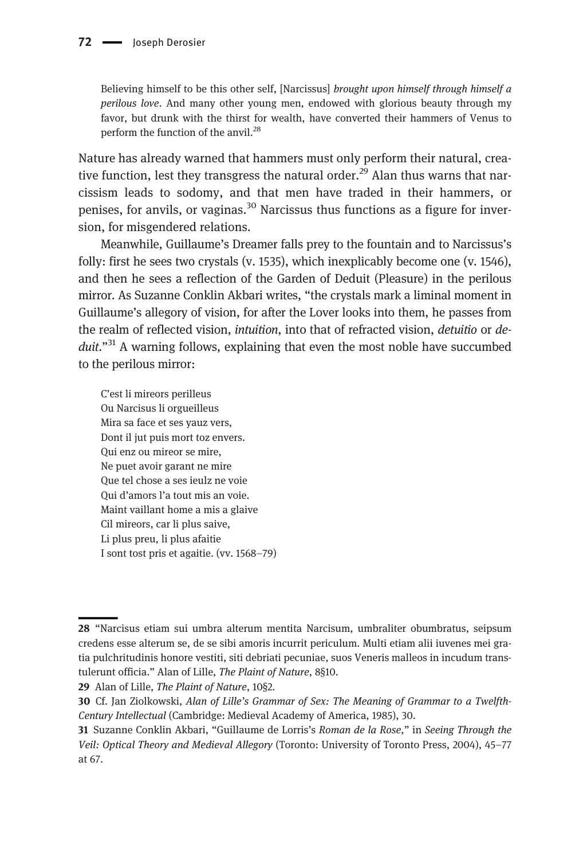Believing himself to be this other self, [Narcissus] brought upon himself through himself a perilous love. And many other young men, endowed with glorious beauty through my favor, but drunk with the thirst for wealth, have converted their hammers of Venus to perform the function of the anvil.<sup>28</sup>

Nature has already warned that hammers must only perform their natural, creative function, lest they transgress the natural order.<sup>29</sup> Alan thus warns that narcissism leads to sodomy, and that men have traded in their hammers, or penises, for anvils, or vaginas.<sup>30</sup> Narcissus thus functions as a figure for inversion, for misgendered relations.

Meanwhile, Guillaume's Dreamer falls prey to the fountain and to Narcissus's folly: first he sees two crystals (v. 1535), which inexplicably become one (v. 1546), and then he sees a reflection of the Garden of Deduit (Pleasure) in the perilous mirror. As Suzanne Conklin Akbari writes, "the crystals mark a liminal moment in Guillaume's allegory of vision, for after the Lover looks into them, he passes from the realm of reflected vision, intuition, into that of refracted vision, detuitio or deduit."<sup>31</sup> A warning follows, explaining that even the most noble have succumbed to the perilous mirror:

C'est li mireors perilleus Ou Narcisus li orgueilleus Mira sa face et ses yauz vers, Dont il jut puis mort toz envers. Qui enz ou mireor se mire, Ne puet avoir garant ne mire Que tel chose a ses ieulz ne voie Qui d'amors l'a tout mis an voie. Maint vaillant home a mis a glaive Cil mireors, car li plus saive, Li plus preu, li plus afaitie I sont tost pris et agaitie. (vv. 1568–79)

<sup>28</sup> "Narcisus etiam sui umbra alterum mentita Narcisum, umbraliter obumbratus, seipsum credens esse alterum se, de se sibi amoris incurrit periculum. Multi etiam alii iuvenes mei gratia pulchritudinis honore vestiti, siti debriati pecuniae, suos Veneris malleos in incudum transtulerunt officia." Alan of Lille, The Plaint of Nature, 8§10.

<sup>29</sup> Alan of Lille, The Plaint of Nature, 10§2.

<sup>30</sup> Cf. Jan Ziolkowski, Alan of Lille's Grammar of Sex: The Meaning of Grammar to a Twelfth-Century Intellectual (Cambridge: Medieval Academy of America, 1985), 30.

<sup>31</sup> Suzanne Conklin Akbari, "Guillaume de Lorris's Roman de la Rose," in Seeing Through the Veil: Optical Theory and Medieval Allegory (Toronto: University of Toronto Press, 2004), 45–77 at 67.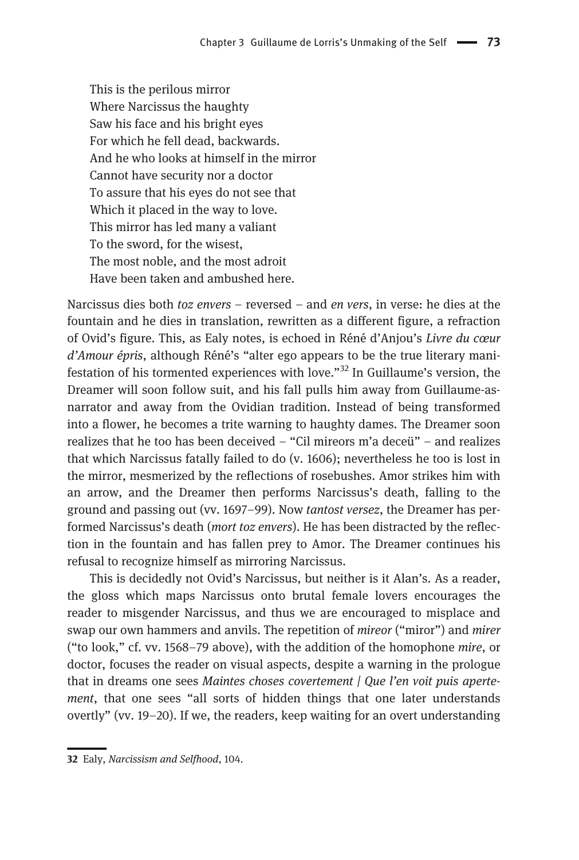This is the perilous mirror Where Narcissus the haughty Saw his face and his bright eyes For which he fell dead, backwards. And he who looks at himself in the mirror Cannot have security nor a doctor To assure that his eyes do not see that Which it placed in the way to love. This mirror has led many a valiant To the sword, for the wisest, The most noble, and the most adroit Have been taken and ambushed here.

Narcissus dies both *toz envers –* reversed – and *en vers*, in verse: he dies at the fountain and he dies in translation, rewritten as a different figure, a refraction of Ovid's figure. This, as Ealy notes, is echoed in Réné d'Anjou's Livre du cœur d'Amour épris, although Réné's "alter ego appears to be the true literary manifestation of his tormented experiences with love."<sup>32</sup> In Guillaume's version, the Dreamer will soon follow suit, and his fall pulls him away from Guillaume-asnarrator and away from the Ovidian tradition. Instead of being transformed into a flower, he becomes a trite warning to haughty dames. The Dreamer soon realizes that he too has been deceived – "Cil mireors m'a deceü" – and realizes that which Narcissus fatally failed to do (v. 1606); nevertheless he too is lost in the mirror, mesmerized by the reflections of rosebushes. Amor strikes him with an arrow, and the Dreamer then performs Narcissus's death, falling to the ground and passing out (vv. 1697–99). Now tantost versez, the Dreamer has performed Narcissus's death (*mort toz envers*). He has been distracted by the reflection in the fountain and has fallen prey to Amor. The Dreamer continues his refusal to recognize himself as mirroring Narcissus.

This is decidedly not Ovid's Narcissus, but neither is it Alan's. As a reader, the gloss which maps Narcissus onto brutal female lovers encourages the reader to misgender Narcissus, and thus we are encouraged to misplace and swap our own hammers and anvils. The repetition of *mireor* ("miror") and *mirer* ("to look," cf. vv. 1568–79 above), with the addition of the homophone mire, or doctor, focuses the reader on visual aspects, despite a warning in the prologue that in dreams one sees Maintes choses covertement | Que l'en voit puis apertement, that one sees "all sorts of hidden things that one later understands overtly" (vv. 19–20). If we, the readers, keep waiting for an overt understanding

<sup>32</sup> Ealy, Narcissism and Selfhood, 104.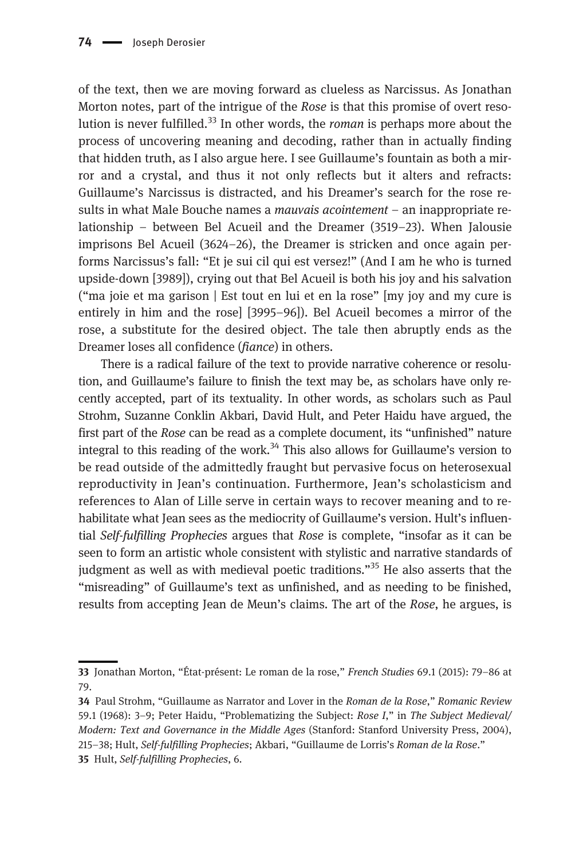of the text, then we are moving forward as clueless as Narcissus. As Jonathan Morton notes, part of the intrigue of the Rose is that this promise of overt resolution is never fulfilled.<sup>33</sup> In other words, the *roman* is perhaps more about the process of uncovering meaning and decoding, rather than in actually finding that hidden truth, as I also argue here. I see Guillaume's fountain as both a mirror and a crystal, and thus it not only reflects but it alters and refracts: Guillaume's Narcissus is distracted, and his Dreamer's search for the rose results in what Male Bouche names a *mauvais acointement* – an inappropriate relationship – between Bel Acueil and the Dreamer (3519–23). When Jalousie imprisons Bel Acueil (3624–26), the Dreamer is stricken and once again performs Narcissus's fall: "Et je sui cil qui est versez!" (And I am he who is turned upside-down [3989]), crying out that Bel Acueil is both his joy and his salvation ("ma joie et ma garison | Est tout en lui et en la rose" [my joy and my cure is entirely in him and the rose] [3995–96]). Bel Acueil becomes a mirror of the rose, a substitute for the desired object. The tale then abruptly ends as the Dreamer loses all confidence (fiance) in others.

There is a radical failure of the text to provide narrative coherence or resolution, and Guillaume's failure to finish the text may be, as scholars have only recently accepted, part of its textuality. In other words, as scholars such as Paul Strohm, Suzanne Conklin Akbari, David Hult, and Peter Haidu have argued, the first part of the Rose can be read as a complete document, its "unfinished" nature integral to this reading of the work.<sup>34</sup> This also allows for Guillaume's version to be read outside of the admittedly fraught but pervasive focus on heterosexual reproductivity in Jean's continuation. Furthermore, Jean's scholasticism and references to Alan of Lille serve in certain ways to recover meaning and to rehabilitate what Jean sees as the mediocrity of Guillaume's version. Hult's influential Self-fulfilling Prophecies argues that Rose is complete, "insofar as it can be seen to form an artistic whole consistent with stylistic and narrative standards of judgment as well as with medieval poetic traditions."<sup>35</sup> He also asserts that the "misreading" of Guillaume's text as unfinished, and as needing to be finished, results from accepting Jean de Meun's claims. The art of the Rose, he argues, is

<sup>33</sup> Jonathan Morton, "État-présent: Le roman de la rose," French Studies 69.1 (2015): 79–86 at 79.

<sup>34</sup> Paul Strohm, "Guillaume as Narrator and Lover in the Roman de la Rose," Romanic Review 59.1 (1968): 3–9; Peter Haidu, "Problematizing the Subject: Rose I," in The Subject Medieval/ Modern: Text and Governance in the Middle Ages (Stanford: Stanford University Press, 2004), 215–38; Hult, Self-fulfilling Prophecies; Akbari, "Guillaume de Lorris's Roman de la Rose." 35 Hult, Self-fulfilling Prophecies, 6.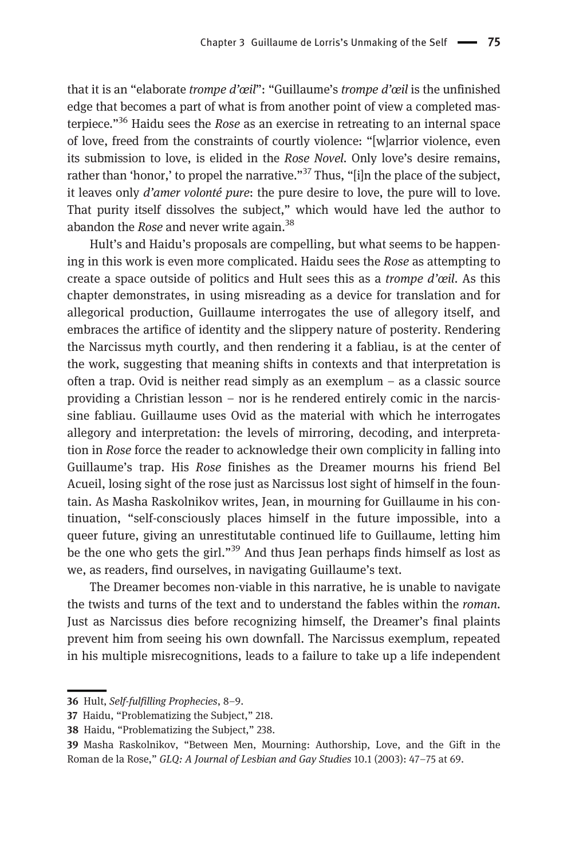that it is an "elaborate *trompe d'œil*": "Guillaume's *trompe d'œil* is the unfinished edge that becomes a part of what is from another point of view a completed masterpiece."<sup>36</sup> Haidu sees the Rose as an exercise in retreating to an internal space of love, freed from the constraints of courtly violence: "[w]arrior violence, even its submission to love, is elided in the Rose Novel. Only love's desire remains, rather than 'honor,' to propel the narrative."<sup>37</sup> Thus, "[i]n the place of the subject, it leaves only  $d'$ *amer volonté pure*: the pure desire to love, the pure will to love. That purity itself dissolves the subject," which would have led the author to abandon the *Rose* and never write again.<sup>38</sup>

Hult's and Haidu's proposals are compelling, but what seems to be happening in this work is even more complicated. Haidu sees the Rose as attempting to create a space outside of politics and Hult sees this as a *trompe d'œil*. As this chapter demonstrates, in using misreading as a device for translation and for allegorical production, Guillaume interrogates the use of allegory itself, and embraces the artifice of identity and the slippery nature of posterity. Rendering the Narcissus myth courtly, and then rendering it a fabliau, is at the center of the work, suggesting that meaning shifts in contexts and that interpretation is often a trap. Ovid is neither read simply as an exemplum – as a classic source providing a Christian lesson – nor is he rendered entirely comic in the narcissine fabliau. Guillaume uses Ovid as the material with which he interrogates allegory and interpretation: the levels of mirroring, decoding, and interpretation in Rose force the reader to acknowledge their own complicity in falling into Guillaume's trap. His Rose finishes as the Dreamer mourns his friend Bel Acueil, losing sight of the rose just as Narcissus lost sight of himself in the fountain. As Masha Raskolnikov writes, Jean, in mourning for Guillaume in his continuation, "self-consciously places himself in the future impossible, into a queer future, giving an unrestitutable continued life to Guillaume, letting him be the one who gets the girl."<sup>39</sup> And thus Jean perhaps finds himself as lost as we, as readers, find ourselves, in navigating Guillaume's text.

The Dreamer becomes non-viable in this narrative, he is unable to navigate the twists and turns of the text and to understand the fables within the roman. Just as Narcissus dies before recognizing himself, the Dreamer's final plaints prevent him from seeing his own downfall. The Narcissus exemplum, repeated in his multiple misrecognitions, leads to a failure to take up a life independent

<sup>36</sup> Hult, Self-fulfilling Prophecies, 8–9.

<sup>37</sup> Haidu, "Problematizing the Subject," 218.

<sup>38</sup> Haidu, "Problematizing the Subject," 238.

<sup>39</sup> Masha Raskolnikov, "Between Men, Mourning: Authorship, Love, and the Gift in the Roman de la Rose," GLQ: A Journal of Lesbian and Gay Studies 10.1 (2003): 47–75 at 69.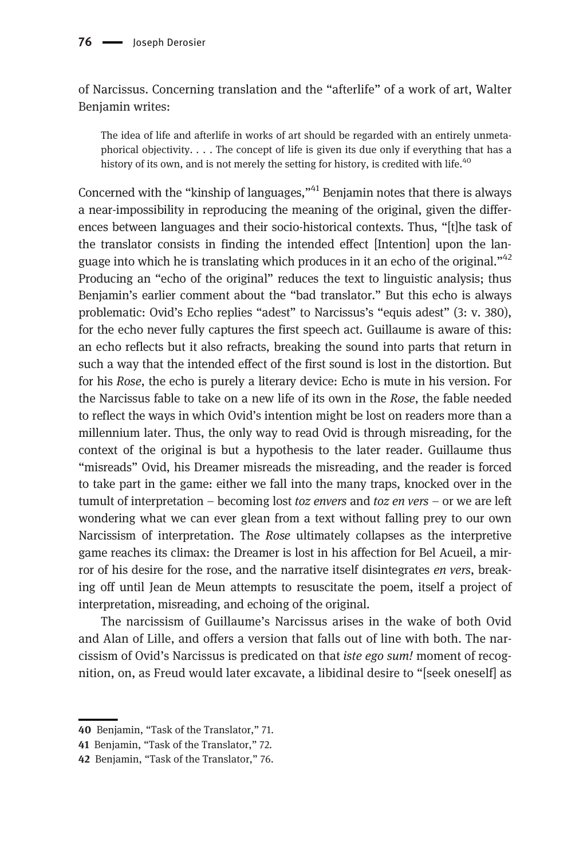of Narcissus. Concerning translation and the "afterlife" of a work of art, Walter Benjamin writes:

The idea of life and afterlife in works of art should be regarded with an entirely unmetaphorical objectivity.  $\dots$  The concept of life is given its due only if everything that has a history of its own, and is not merely the setting for history, is credited with life.<sup>40</sup>

Concerned with the "kinship of languages,"<sup>41</sup> Benjamin notes that there is always a near-impossibility in reproducing the meaning of the original, given the differences between languages and their socio-historical contexts. Thus, "[t]he task of the translator consists in finding the intended effect [Intention] upon the language into which he is translating which produces in it an echo of the original."<sup>42</sup> Producing an "echo of the original" reduces the text to linguistic analysis; thus Benjamin's earlier comment about the "bad translator." But this echo is always problematic: Ovid's Echo replies "adest" to Narcissus's "equis adest" (3: v. 380), for the echo never fully captures the first speech act. Guillaume is aware of this: an echo reflects but it also refracts, breaking the sound into parts that return in such a way that the intended effect of the first sound is lost in the distortion. But for his Rose, the echo is purely a literary device: Echo is mute in his version. For the Narcissus fable to take on a new life of its own in the Rose, the fable needed to reflect the ways in which Ovid's intention might be lost on readers more than a millennium later. Thus, the only way to read Ovid is through misreading, for the context of the original is but a hypothesis to the later reader. Guillaume thus "misreads" Ovid, his Dreamer misreads the misreading, and the reader is forced to take part in the game: either we fall into the many traps, knocked over in the tumult of interpretation – becoming lost *toz envers* and *toz en vers* – or we are left wondering what we can ever glean from a text without falling prey to our own Narcissism of interpretation. The Rose ultimately collapses as the interpretive game reaches its climax: the Dreamer is lost in his affection for Bel Acueil, a mirror of his desire for the rose, and the narrative itself disintegrates *en vers*, breaking off until Jean de Meun attempts to resuscitate the poem, itself a project of interpretation, misreading, and echoing of the original.

The narcissism of Guillaume's Narcissus arises in the wake of both Ovid and Alan of Lille, and offers a version that falls out of line with both. The narcissism of Ovid's Narcissus is predicated on that iste ego sum! moment of recognition, on, as Freud would later excavate, a libidinal desire to "[seek oneself] as

<sup>40</sup> Benjamin, "Task of the Translator," 71.

<sup>41</sup> Benjamin, "Task of the Translator," 72.

<sup>42</sup> Benjamin, "Task of the Translator," 76.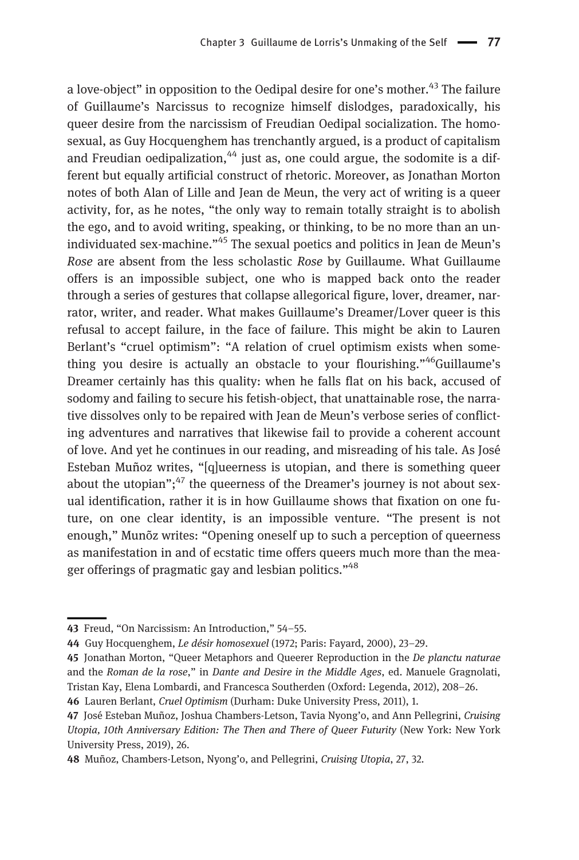a love-object" in opposition to the Oedipal desire for one's mother.<sup>43</sup> The failure of Guillaume's Narcissus to recognize himself dislodges, paradoxically, his queer desire from the narcissism of Freudian Oedipal socialization. The homosexual, as Guy Hocquenghem has trenchantly argued, is a product of capitalism and Freudian oedipalization, $44$  just as, one could argue, the sodomite is a different but equally artificial construct of rhetoric. Moreover, as Jonathan Morton notes of both Alan of Lille and Jean de Meun, the very act of writing is a queer activity, for, as he notes, "the only way to remain totally straight is to abolish the ego, and to avoid writing, speaking, or thinking, to be no more than an unindividuated sex-machine."<sup>45</sup> The sexual poetics and politics in Jean de Meun's Rose are absent from the less scholastic Rose by Guillaume. What Guillaume offers is an impossible subject, one who is mapped back onto the reader through a series of gestures that collapse allegorical figure, lover, dreamer, narrator, writer, and reader. What makes Guillaume's Dreamer/Lover queer is this refusal to accept failure, in the face of failure. This might be akin to Lauren Berlant's "cruel optimism": "A relation of cruel optimism exists when something you desire is actually an obstacle to your flourishing."<sup>46</sup>Guillaume's Dreamer certainly has this quality: when he falls flat on his back, accused of sodomy and failing to secure his fetish-object, that unattainable rose, the narrative dissolves only to be repaired with Jean de Meun's verbose series of conflicting adventures and narratives that likewise fail to provide a coherent account of love. And yet he continues in our reading, and misreading of his tale. As José Esteban Muñoz writes, "[q]ueerness is utopian, and there is something queer about the utopian";<sup>47</sup> the queerness of the Dreamer's journey is not about sexual identification, rather it is in how Guillaume shows that fixation on one future, on one clear identity, is an impossible venture. "The present is not enough," Munõz writes: "Opening oneself up to such a perception of queerness as manifestation in and of ecstatic time offers queers much more than the meager offerings of pragmatic gay and lesbian politics."<sup>48</sup>

<sup>43</sup> Freud, "On Narcissism: An Introduction," 54–55.

<sup>44</sup> Guy Hocquenghem, Le désir homosexuel (1972; Paris: Fayard, 2000), 23–29.

<sup>45</sup> Jonathan Morton, "Queer Metaphors and Queerer Reproduction in the De planctu naturae and the Roman de la rose," in Dante and Desire in the Middle Ages, ed. Manuele Gragnolati, Tristan Kay, Elena Lombardi, and Francesca Southerden (Oxford: Legenda, 2012), 208–26.

<sup>46</sup> Lauren Berlant, Cruel Optimism (Durham: Duke University Press, 2011), 1.

<sup>47</sup> José Esteban Muñoz, Joshua Chambers-Letson, Tavia Nyong'o, and Ann Pellegrini, Cruising Utopia, 10th Anniversary Edition: The Then and There of Queer Futurity (New York: New York University Press, 2019), 26.

<sup>48</sup> Muñoz, Chambers-Letson, Nyong'o, and Pellegrini, Cruising Utopia, 27, 32.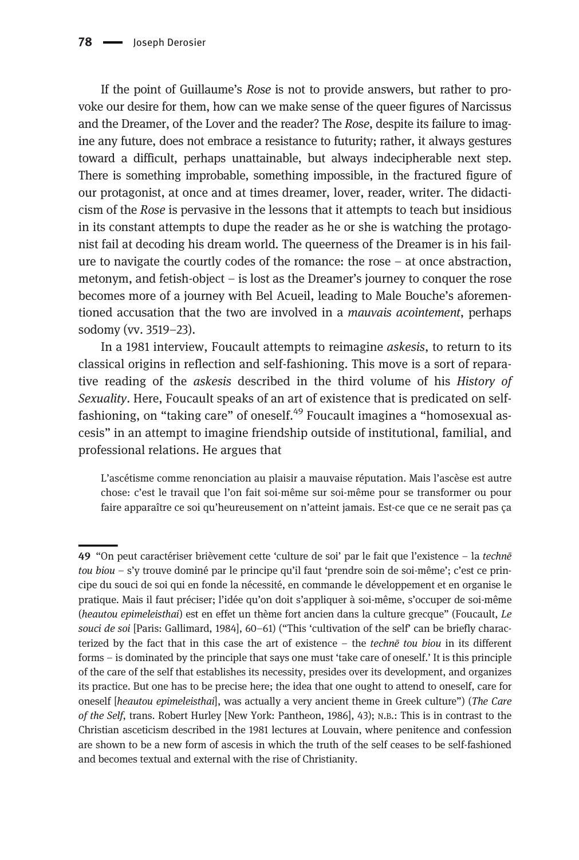If the point of Guillaume's Rose is not to provide answers, but rather to provoke our desire for them, how can we make sense of the queer figures of Narcissus and the Dreamer, of the Lover and the reader? The Rose, despite its failure to imagine any future, does not embrace a resistance to futurity; rather, it always gestures toward a difficult, perhaps unattainable, but always indecipherable next step. There is something improbable, something impossible, in the fractured figure of our protagonist, at once and at times dreamer, lover, reader, writer. The didacticism of the Rose is pervasive in the lessons that it attempts to teach but insidious in its constant attempts to dupe the reader as he or she is watching the protagonist fail at decoding his dream world. The queerness of the Dreamer is in his failure to navigate the courtly codes of the romance: the rose – at once abstraction, metonym, and fetish-object – is lost as the Dreamer's journey to conquer the rose becomes more of a journey with Bel Acueil, leading to Male Bouche's aforementioned accusation that the two are involved in a *mauvais acointement*, perhaps sodomy (vv. 3519–23).

In a 1981 interview, Foucault attempts to reimagine askesis, to return to its classical origins in reflection and self-fashioning. This move is a sort of reparative reading of the askesis described in the third volume of his History of Sexuality. Here, Foucault speaks of an art of existence that is predicated on selffashioning, on "taking care" of oneself.<sup>49</sup> Foucault imagines a "homosexual ascesis" in an attempt to imagine friendship outside of institutional, familial, and professional relations. He argues that

L'ascétisme comme renonciation au plaisir a mauvaise réputation. Mais l'ascèse est autre chose: c'est le travail que l'on fait soi-même sur soi-même pour se transformer ou pour faire apparaître ce soi qu'heureusement on n'atteint jamais. Est-ce que ce ne serait pas ça

<sup>49</sup> "On peut caractériser brièvement cette 'culture de soi' par le fait que l'existence – la technē tou biou – s'y trouve dominé par le principe qu'il faut 'prendre soin de soi-même'; c'est ce principe du souci de soi qui en fonde la nécessité, en commande le développement et en organise le pratique. Mais il faut préciser; l'idée qu'on doit s'appliquer à soi-même, s'occuper de soi-même (heautou epimeleisthai) est en effet un thème fort ancien dans la culture grecque" (Foucault, Le souci de soi [Paris: Gallimard, 1984], 60-61) ("This 'cultivation of the self' can be briefly characterized by the fact that in this case the art of existence - the techne tou biou in its different forms – is dominated by the principle that says one must 'take care of oneself.' It is this principle of the care of the self that establishes its necessity, presides over its development, and organizes its practice. But one has to be precise here; the idea that one ought to attend to oneself, care for oneself [heautou epimeleisthai], was actually a very ancient theme in Greek culture") (The Care of the Self, trans. Robert Hurley [New York: Pantheon, 1986], 43); N.B.: This is in contrast to the Christian asceticism described in the 1981 lectures at Louvain, where penitence and confession are shown to be a new form of ascesis in which the truth of the self ceases to be self-fashioned and becomes textual and external with the rise of Christianity.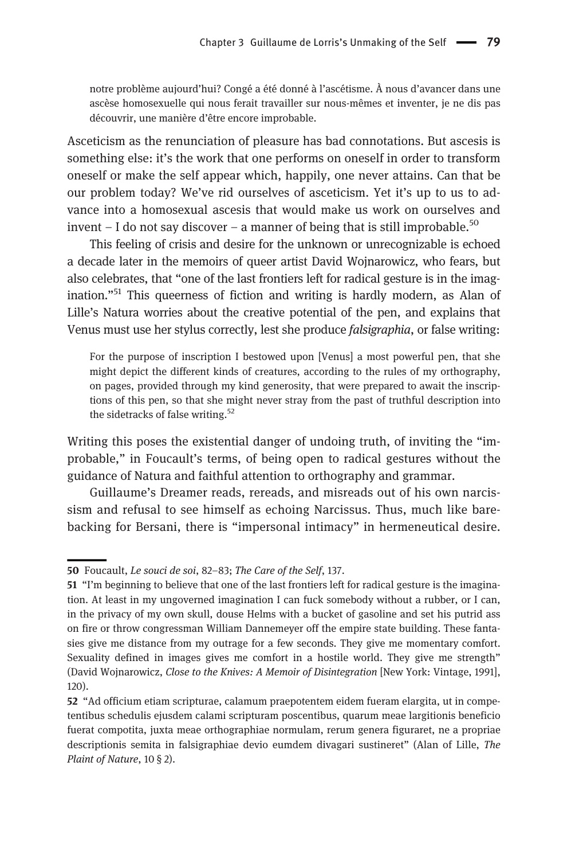notre problème aujourd'hui? Congé a été donné à l'ascétisme. À nous d'avancer dans une ascèse homosexuelle qui nous ferait travailler sur nous-mêmes et inventer, je ne dis pas découvrir, une manière d'être encore improbable.

Asceticism as the renunciation of pleasure has bad connotations. But ascesis is something else: it's the work that one performs on oneself in order to transform oneself or make the self appear which, happily, one never attains. Can that be our problem today? We've rid ourselves of asceticism. Yet it's up to us to advance into a homosexual ascesis that would make us work on ourselves and invent – I do not say discover – a manner of being that is still improbable.<sup>50</sup>

This feeling of crisis and desire for the unknown or unrecognizable is echoed a decade later in the memoirs of queer artist David Wojnarowicz, who fears, but also celebrates, that "one of the last frontiers left for radical gesture is in the imagination."<sup>51</sup> This queerness of fiction and writing is hardly modern, as Alan of Lille's Natura worries about the creative potential of the pen, and explains that Venus must use her stylus correctly, lest she produce falsigraphia, or false writing:

For the purpose of inscription I bestowed upon [Venus] a most powerful pen, that she might depict the different kinds of creatures, according to the rules of my orthography, on pages, provided through my kind generosity, that were prepared to await the inscriptions of this pen, so that she might never stray from the past of truthful description into the sidetracks of false writing.<sup>52</sup>

Writing this poses the existential danger of undoing truth, of inviting the "improbable," in Foucault's terms, of being open to radical gestures without the guidance of Natura and faithful attention to orthography and grammar.

Guillaume's Dreamer reads, rereads, and misreads out of his own narcissism and refusal to see himself as echoing Narcissus. Thus, much like barebacking for Bersani, there is "impersonal intimacy" in hermeneutical desire.

<sup>50</sup> Foucault, Le souci de soi, 82-83; The Care of the Self, 137.

<sup>51</sup> "I'm beginning to believe that one of the last frontiers left for radical gesture is the imagination. At least in my ungoverned imagination I can fuck somebody without a rubber, or I can, in the privacy of my own skull, douse Helms with a bucket of gasoline and set his putrid ass on fire or throw congressman William Dannemeyer off the empire state building. These fantasies give me distance from my outrage for a few seconds. They give me momentary comfort. Sexuality defined in images gives me comfort in a hostile world. They give me strength" (David Wojnarowicz, Close to the Knives: A Memoir of Disintegration [New York: Vintage, 1991], 120).

<sup>52</sup> "Ad officium etiam scripturae, calamum praepotentem eidem fueram elargita, ut in competentibus schedulis ejusdem calami scripturam poscentibus, quarum meae largitionis beneficio fuerat compotita, juxta meae orthographiae normulam, rerum genera figuraret, ne a propriae descriptionis semita in falsigraphiae devio eumdem divagari sustineret" (Alan of Lille, The Plaint of Nature, 10 § 2).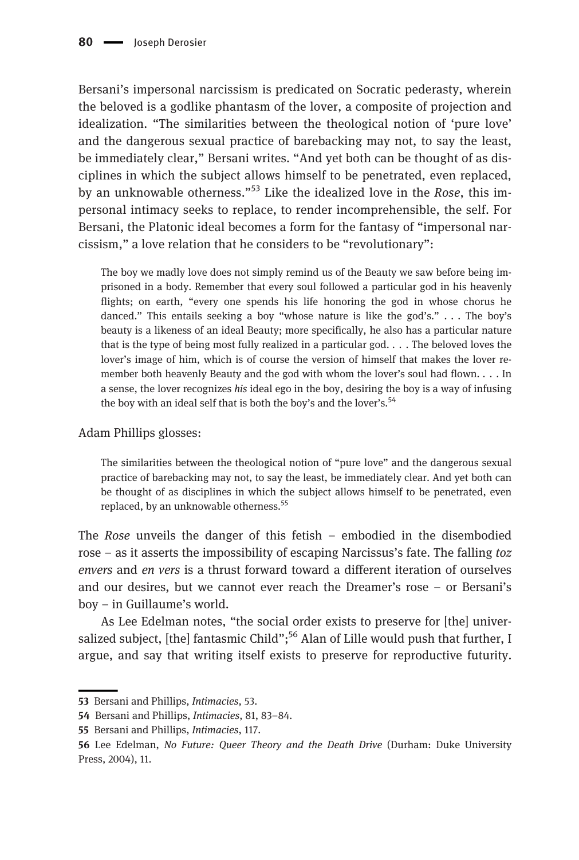Bersani's impersonal narcissism is predicated on Socratic pederasty, wherein the beloved is a godlike phantasm of the lover, a composite of projection and idealization. "The similarities between the theological notion of 'pure love' and the dangerous sexual practice of barebacking may not, to say the least, be immediately clear," Bersani writes. "And yet both can be thought of as disciplines in which the subject allows himself to be penetrated, even replaced, by an unknowable otherness."<sup>53</sup> Like the idealized love in the *Rose*, this impersonal intimacy seeks to replace, to render incomprehensible, the self. For Bersani, the Platonic ideal becomes a form for the fantasy of "impersonal narcissism," a love relation that he considers to be "revolutionary":

The boy we madly love does not simply remind us of the Beauty we saw before being imprisoned in a body. Remember that every soul followed a particular god in his heavenly flights; on earth, "every one spends his life honoring the god in whose chorus he danced." This entails seeking a boy "whose nature is like the god's." . . . The boy's beauty is a likeness of an ideal Beauty; more specifically, he also has a particular nature that is the type of being most fully realized in a particular god. . . . The beloved loves the lover's image of him, which is of course the version of himself that makes the lover remember both heavenly Beauty and the god with whom the lover's soul had flown. . . . In a sense, the lover recognizes his ideal ego in the boy, desiring the boy is a way of infusing the boy with an ideal self that is both the boy's and the lover's. $54$ 

## Adam Phillips glosses:

The similarities between the theological notion of "pure love" and the dangerous sexual practice of barebacking may not, to say the least, be immediately clear. And yet both can be thought of as disciplines in which the subject allows himself to be penetrated, even replaced, by an unknowable otherness.<sup>55</sup>

The Rose unveils the danger of this fetish – embodied in the disembodied rose – as it asserts the impossibility of escaping Narcissus's fate. The falling toz envers and en vers is a thrust forward toward a different iteration of ourselves and our desires, but we cannot ever reach the Dreamer's rose – or Bersani's boy – in Guillaume's world.

As Lee Edelman notes, "the social order exists to preserve for [the] universalized subject, [the] fantasmic Child";<sup>56</sup> Alan of Lille would push that further, I argue, and say that writing itself exists to preserve for reproductive futurity.

<sup>53</sup> Bersani and Phillips, Intimacies, 53.

<sup>54</sup> Bersani and Phillips, Intimacies, 81, 83–84.

<sup>55</sup> Bersani and Phillips, Intimacies, 117.

<sup>56</sup> Lee Edelman, No Future: Queer Theory and the Death Drive (Durham: Duke University Press, 2004), 11.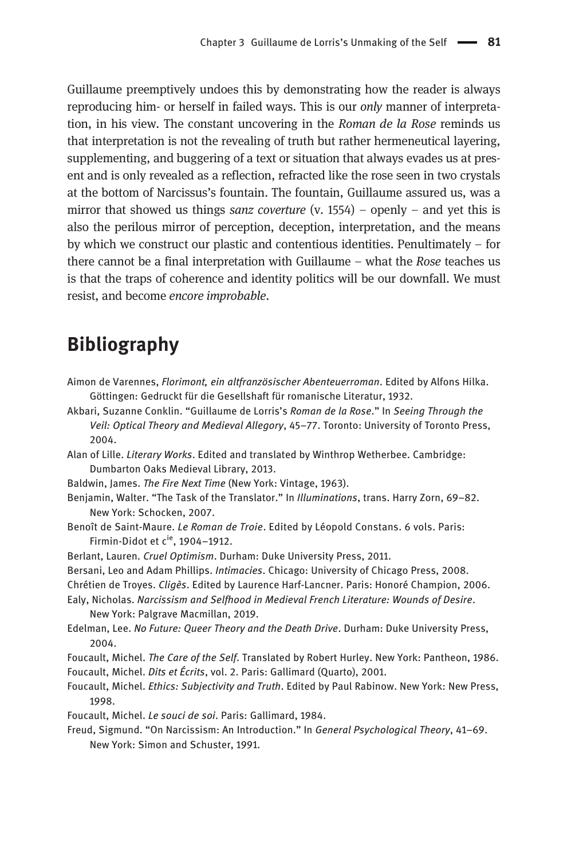Guillaume preemptively undoes this by demonstrating how the reader is always reproducing him- or herself in failed ways. This is our *only* manner of interpretation, in his view. The constant uncovering in the Roman de la Rose reminds us that interpretation is not the revealing of truth but rather hermeneutical layering, supplementing, and buggering of a text or situation that always evades us at present and is only revealed as a reflection, refracted like the rose seen in two crystals at the bottom of Narcissus's fountain. The fountain, Guillaume assured us, was a mirror that showed us things *sanz coverture* (v. 1554) – openly – and yet this is also the perilous mirror of perception, deception, interpretation, and the means by which we construct our plastic and contentious identities. Penultimately – for there cannot be a final interpretation with Guillaume – what the Rose teaches us is that the traps of coherence and identity politics will be our downfall. We must resist, and become encore improbable.

## Bibliography

- Aimon de Varennes, Florimont, ein altfranzösischer Abenteuerroman. Edited by Alfons Hilka. Göttingen: Gedruckt für die Gesellshaft für romanische Literatur, 1932.
- Akbari, Suzanne Conklin. "Guillaume de Lorris's Roman de la Rose." In Seeing Through the Veil: Optical Theory and Medieval Allegory, 45–77. Toronto: University of Toronto Press, 2004.
- Alan of Lille. Literary Works. Edited and translated by Winthrop Wetherbee. Cambridge: Dumbarton Oaks Medieval Library, 2013.
- Baldwin, James. The Fire Next Time (New York: Vintage, 1963).
- Benjamin, Walter. "The Task of the Translator." In Illuminations, trans. Harry Zorn, 69–82. New York: Schocken, 2007.
- Benoît de Saint-Maure. Le Roman de Troie. Edited by Léopold Constans. 6 vols. Paris: Firmin-Didot et  $c^{ie}$ , 1904–1912.
- Berlant, Lauren. Cruel Optimism. Durham: Duke University Press, 2011.
- Bersani, Leo and Adam Phillips. Intimacies. Chicago: University of Chicago Press, 2008.
- Chrétien de Troyes. Cligès. Edited by Laurence Harf-Lancner. Paris: Honoré Champion, 2006.
- Ealy, Nicholas. Narcissism and Selfhood in Medieval French Literature: Wounds of Desire. New York: Palgrave Macmillan, 2019.
- Edelman, Lee. No Future: Queer Theory and the Death Drive. Durham: Duke University Press, 2004.
- Foucault, Michel. The Care of the Self. Translated by Robert Hurley. New York: Pantheon, 1986. Foucault, Michel. Dits et Écrits, vol. 2. Paris: Gallimard (Quarto), 2001.
- Foucault, Michel. Ethics: Subjectivity and Truth. Edited by Paul Rabinow. New York: New Press, 1998.
- Foucault, Michel. Le souci de soi. Paris: Gallimard, 1984.
- Freud, Sigmund. "On Narcissism: An Introduction." In General Psychological Theory, 41–69. New York: Simon and Schuster, 1991.